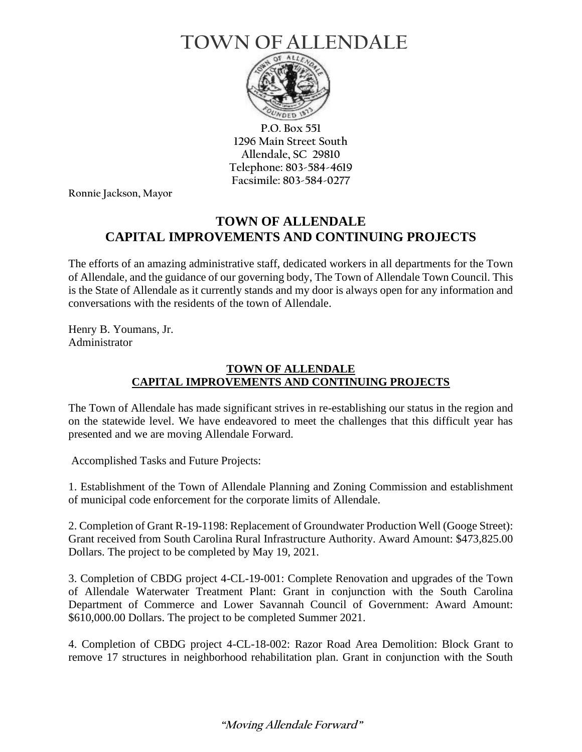## **TOWN OFALLENDALE**



**P.O. Box 551 1296 Main Street South Allendale, SC 29810 Telephone: 803-584-4619 Facsimile: 803-584-0277**

**Ronnie Jackson, Mayor**

## **TOWN OF ALLENDALE CAPITAL IMPROVEMENTS AND CONTINUING PROJECTS**

The efforts of an amazing administrative staff, dedicated workers in all departments for the Town of Allendale, and the guidance of our governing body, The Town of Allendale Town Council. This is the State of Allendale as it currently stands and my door is always open for any information and conversations with the residents of the town of Allendale.

Henry B. Youmans, Jr. Administrator

## **TOWN OF ALLENDALE CAPITAL IMPROVEMENTS AND CONTINUING PROJECTS**

The Town of Allendale has made significant strives in re-establishing our status in the region and on the statewide level. We have endeavored to meet the challenges that this difficult year has presented and we are moving Allendale Forward.

Accomplished Tasks and Future Projects:

1. Establishment of the Town of Allendale Planning and Zoning Commission and establishment of municipal code enforcement for the corporate limits of Allendale.

2. Completion of Grant R-19-1198: Replacement of Groundwater Production Well (Googe Street): Grant received from South Carolina Rural Infrastructure Authority. Award Amount: \$473,825.00 Dollars. The project to be completed by May 19, 2021.

3. Completion of CBDG project 4-CL-19-001: Complete Renovation and upgrades of the Town of Allendale Waterwater Treatment Plant: Grant in conjunction with the South Carolina Department of Commerce and Lower Savannah Council of Government: Award Amount: \$610,000.00 Dollars. The project to be completed Summer 2021.

4. Completion of CBDG project 4-CL-18-002: Razor Road Area Demolition: Block Grant to remove 17 structures in neighborhood rehabilitation plan. Grant in conjunction with the South

## **"Moving Allendale Forward"**